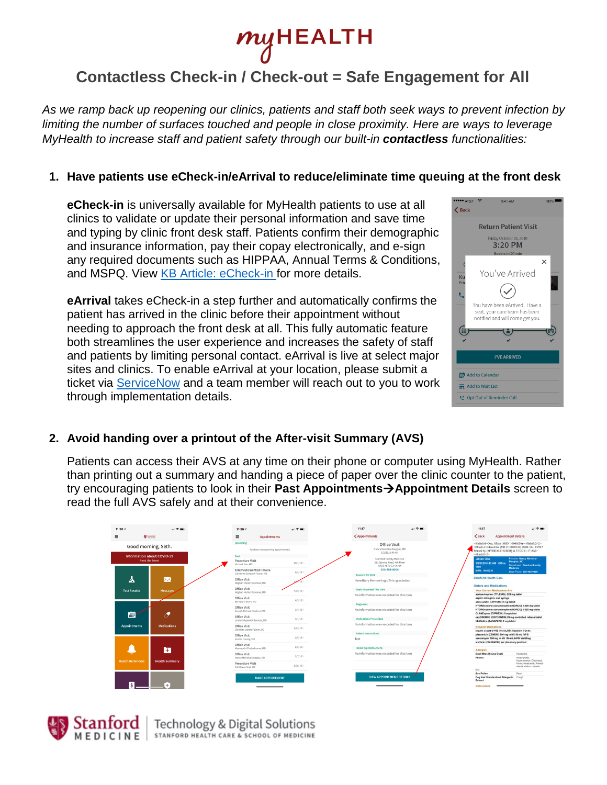

# **Contactless Check-in / Check-out = Safe Engagement for All**

*As we ramp back up reopening our clinics, patients and staff both seek ways to prevent infection by limiting the number of surfaces touched and people in close proximity. Here are ways to leverage MyHealth to increase staff and patient safety through our built-in contactless functionalities:*

#### **1. Have patients use eCheck-in/eArrival to reduce/eliminate time queuing at the front desk**

**eCheck-in** is universally available for MyHealth patients to use at all clinics to validate or update their personal information and save time and typing by clinic front desk staff. Patients confirm their demographic and insurance information, pay their copay electronically, and e-sign any required documents such as HIPPAA, Annual Terms & Conditions, and MSPQ. View [KB Article: eCheck-in f](https://stanfordhc.service-now.com/esm/?id=kb_article_view&sysparm_article=KB0126923)or more details.

**eArrival** takes eCheck-in a step further and automatically confirms the patient has arrived in the clinic before their appointment without needing to approach the front desk at all. This fully automatic feature both streamlines the user experience and increases the safety of staff and patients by limiting personal contact. eArrival is live at select major sites and clinics. To enable eArrival at your location, please submit a ticket via [ServiceNow](https://stanfordhc.service-now.com/esm/?id=sc_category) and a team member will reach out to you to work through implementation details.

| <b>*** AT&amp;T</b><br>$9:41$ AM<br><b>く</b> Back                                                                                  | 100%     |
|------------------------------------------------------------------------------------------------------------------------------------|----------|
| <b>Return Patient Visit</b>                                                                                                        |          |
| Friday October 25, 2019<br>3:20 PM<br>Begins in 20 min                                                                             |          |
| You've Arrived<br>Ku<br>Prin<br>You have been eArrived. Have a<br>seat, your care team has been<br>notified and will come get you. | $\times$ |
| <b>I'VE ARRIVED</b>                                                                                                                |          |
| 前 Add to Calendar                                                                                                                  |          |
| 三 Add to Wait List                                                                                                                 |          |
| C* Opt Out of Reminder Call                                                                                                        |          |

#### **2. Avoid handing over a printout of the After-visit Summary (AVS)**

Patients can access their AVS at any time on their phone or computer using MyHealth. Rather than printing out a summary and handing a piece of paper over the clinic counter to the patient, try encouraging patients to look in their **Past AppointmentsAppointment Details** screen to read the full AVS safely and at their convenience.

| 11:364                  | 司令事                                                         | $11:36 \leq$                                                     |                                   | 司令事     |        |
|-------------------------|-------------------------------------------------------------|------------------------------------------------------------------|-----------------------------------|---------|--------|
|                         | <b>W</b> Stanford                                           | Ξ                                                                | <b>Appointments</b>               |         |        |
|                         | Good morning, Seth.                                         | <b>Upcoming</b>                                                  | You have no upcoming appointments |         |        |
|                         | <b>Information about COVID-19</b><br><b>Read the latest</b> | Past<br>Procedure Visit<br>Michael Kim, MD                       |                                   | 10/1/19 |        |
|                         |                                                             | <b>Telemedicine Visit-Phone</b><br>Catherine Sonquist Forest, MD |                                   | 6/4/19  |        |
| А                       | $\boxtimes$                                                 | Office Visit<br>Meghan Mullen Dickman, MD                        |                                   |         |        |
| <b>Test Results</b>     | <b>Messages</b>                                             | Office Visit<br>Meghan Mullen Dickman, MD                        |                                   | 4/10/19 |        |
|                         | Office Visit<br>Bernard J Drury, MD                         |                                                                  | 4/9/19                            |         |        |
|                         |                                                             | Office Visit<br>Joseph Richard Hopkins, ND                       |                                   | 3/4/19  |        |
| ▦                       | P                                                           | Office Visit<br>Linda Kirkpatrick Barman, MD                     |                                   | 3/1/19  |        |
| <b>Appointments</b>     | <b>Medications</b>                                          | Office Visit<br>Christian James Fulmer, DO                       |                                   | 2/22/19 |        |
|                         |                                                             |                                                                  | Office Visit<br>Joo Ha Hwang, MD  |         | 2/9/19 |
|                         |                                                             | Office Visit<br>Meenadchi Chelyakumar, MD                        |                                   | 2/8/19  |        |
|                         | E                                                           | Office Visit                                                     |                                   | 2/7/19  |        |
| <b>Health Reminders</b> | <b>Health Summary</b>                                       | Nancy Morioka-Douglas, MD<br>Procedure Visit                     |                                   | 1/30/19 |        |
|                         |                                                             | Fric Braun Test, MD                                              |                                   |         |        |
|                         |                                                             |                                                                  |                                   |         |        |
|                         |                                                             |                                                                  | <b>MAKE APPOINTMENT</b>           |         |        |